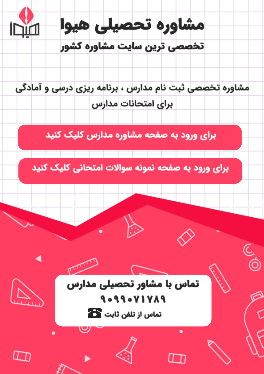

مشاوره تخصصی ثبت نام مدارس ، برنامه ریزی درسی و آمادگی براى امتحانات مدارس

برای ورود به صفحه مشاوره مدارس کلیک کنید

برای ورود به صفحه نمونه سوالات امتحانی کلیک کنید



9099071789 تماس از تلفن ثابت ها

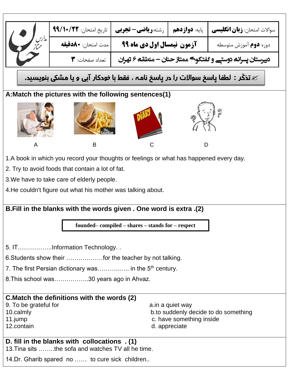|                                                                                       | تاريخ امتحان: ٩٩/١٠/٢٢<br>مدت امتحان: <b>◆∧دقيقه</b>                                   | <b>پایه: دوازدهم   رشته:ریاضی- تجربی</b>             |                  | سوالات امتحان: <b>زبان انگلیسی</b> |  |  |  |  |  |
|---------------------------------------------------------------------------------------|----------------------------------------------------------------------------------------|------------------------------------------------------|------------------|------------------------------------|--|--|--|--|--|
| مدلرس<br>مم <sup>م</sup> ا:                                                           | دوره <b>دوم</b> آموزش متوسطه                                                           |                                                      |                  |                                    |  |  |  |  |  |
|                                                                                       | دبیرستان پسرانھ دوستے و گفتگوک ممتاز حنان – منطقه ۶ تهران<br>تعداد صفحات: ٣            |                                                      |                  |                                    |  |  |  |  |  |
| تذکّر : لطفا یاسخ سوالات را در پاسخ نامہ ، فقط با خودکار آبی و یا مشکی بنویسید. $\ll$ |                                                                                        |                                                      |                  |                                    |  |  |  |  |  |
|                                                                                       | A: Match the pictures with the following sentences(1)                                  |                                                      |                  |                                    |  |  |  |  |  |
|                                                                                       |                                                                                        |                                                      |                  |                                    |  |  |  |  |  |
| A                                                                                     | B                                                                                      | С                                                    | D                |                                    |  |  |  |  |  |
|                                                                                       | 1.A book in which you record your thoughts or feelings or what has happened every day. |                                                      |                  |                                    |  |  |  |  |  |
| 2. Try to avoid foods that contain a lot of fat.                                      |                                                                                        |                                                      |                  |                                    |  |  |  |  |  |
| 3. We have to take care of elderly people.                                            |                                                                                        |                                                      |                  |                                    |  |  |  |  |  |
|                                                                                       | 4. He couldn't figure out what his mother was talking about.                           |                                                      |                  |                                    |  |  |  |  |  |
|                                                                                       |                                                                                        |                                                      |                  |                                    |  |  |  |  |  |
|                                                                                       | B. Fill in the blanks with the words given . One word is extra .(2)                    |                                                      |                  |                                    |  |  |  |  |  |
|                                                                                       |                                                                                        | $founded$ – compiled – shares – stands for – respect |                  |                                    |  |  |  |  |  |
|                                                                                       |                                                                                        |                                                      |                  |                                    |  |  |  |  |  |
|                                                                                       |                                                                                        |                                                      |                  |                                    |  |  |  |  |  |
|                                                                                       | 5. ITInformation Technology                                                            |                                                      |                  |                                    |  |  |  |  |  |
|                                                                                       | 6. Students show their  for the teacher by not talking.                                |                                                      |                  |                                    |  |  |  |  |  |
|                                                                                       | 7. The first Persian dictionary was in the 5 <sup>th</sup> century.                    |                                                      |                  |                                    |  |  |  |  |  |
|                                                                                       | 8. This school was30 years ago in Ahvaz.                                               |                                                      |                  |                                    |  |  |  |  |  |
|                                                                                       | C. Match the definitions with the words (2)                                            |                                                      |                  |                                    |  |  |  |  |  |
| 9. To be grateful for                                                                 |                                                                                        |                                                      | a.in a quiet way |                                    |  |  |  |  |  |
| 10.calmly                                                                             | b.to suddenly decide to do something                                                   |                                                      |                  |                                    |  |  |  |  |  |
| 11.jump                                                                               |                                                                                        | c. have something inside                             |                  |                                    |  |  |  |  |  |
| 12.contain                                                                            |                                                                                        |                                                      | d. appreciate    |                                    |  |  |  |  |  |
| D. fill in the blanks with collocations . (1)                                         |                                                                                        |                                                      |                  |                                    |  |  |  |  |  |
| 13. Tina sits the sofa and watches TV all he time.                                    |                                                                                        |                                                      |                  |                                    |  |  |  |  |  |
| 14.Dr. Gharib spared no  to cure sick children                                        |                                                                                        |                                                      |                  |                                    |  |  |  |  |  |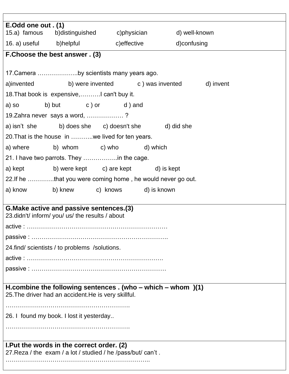| E.Odd one out . (1)                                                                                        |                                                                  |  |             |  |  |  |  |  |  |
|------------------------------------------------------------------------------------------------------------|------------------------------------------------------------------|--|-------------|--|--|--|--|--|--|
|                                                                                                            | 15.a) famous b)distinguished c)physician d) well-known           |  |             |  |  |  |  |  |  |
|                                                                                                            | 16. a) useful b)helpful b c)effective                            |  | d)confusing |  |  |  |  |  |  |
| F. Choose the best answer . (3)                                                                            |                                                                  |  |             |  |  |  |  |  |  |
|                                                                                                            |                                                                  |  |             |  |  |  |  |  |  |
| 17. Camera by scientists many years ago.                                                                   |                                                                  |  |             |  |  |  |  |  |  |
|                                                                                                            | a)invented b) were invented c) was invented d) invent            |  |             |  |  |  |  |  |  |
|                                                                                                            | 18. That book is expensive,    I can't buy it.                   |  |             |  |  |  |  |  |  |
| a) so                                                                                                      | b) but c) or d) and                                              |  |             |  |  |  |  |  |  |
|                                                                                                            | 19. Zahra never says a word, ?                                   |  |             |  |  |  |  |  |  |
|                                                                                                            | a) isn't she b) does she c) doesn't she d) did she               |  |             |  |  |  |  |  |  |
|                                                                                                            | 20. That is the house in  we lived for ten years.                |  |             |  |  |  |  |  |  |
|                                                                                                            | a) where b) whom c) who d) which                                 |  |             |  |  |  |  |  |  |
|                                                                                                            |                                                                  |  |             |  |  |  |  |  |  |
|                                                                                                            | a) kept b) were kept c) are kept d) is kept                      |  |             |  |  |  |  |  |  |
|                                                                                                            | 22. If he that you were coming home, he would never go out.      |  |             |  |  |  |  |  |  |
|                                                                                                            | a) know b) knew c) knows d) is known                             |  |             |  |  |  |  |  |  |
|                                                                                                            |                                                                  |  |             |  |  |  |  |  |  |
|                                                                                                            | G. Make active and passive sentences. (3)                        |  |             |  |  |  |  |  |  |
|                                                                                                            | 23. didn't/ inform/ you/ us/ the results / about                 |  |             |  |  |  |  |  |  |
|                                                                                                            |                                                                  |  |             |  |  |  |  |  |  |
|                                                                                                            |                                                                  |  |             |  |  |  |  |  |  |
| 24.find/ scientists / to problems /solutions.                                                              |                                                                  |  |             |  |  |  |  |  |  |
|                                                                                                            |                                                                  |  |             |  |  |  |  |  |  |
|                                                                                                            |                                                                  |  |             |  |  |  |  |  |  |
|                                                                                                            |                                                                  |  |             |  |  |  |  |  |  |
|                                                                                                            | H.combine the following sentences $.$ (who – which – whom $)(1)$ |  |             |  |  |  |  |  |  |
|                                                                                                            | 25. The driver had an accident. He is very skillful.             |  |             |  |  |  |  |  |  |
|                                                                                                            |                                                                  |  |             |  |  |  |  |  |  |
| 26. I found my book. I lost it yesterday                                                                   |                                                                  |  |             |  |  |  |  |  |  |
|                                                                                                            |                                                                  |  |             |  |  |  |  |  |  |
|                                                                                                            |                                                                  |  |             |  |  |  |  |  |  |
| I. Put the words in the correct order. (2)<br>27. Reza / the exam / a lot / studied / he /pass/but/ can't. |                                                                  |  |             |  |  |  |  |  |  |
|                                                                                                            |                                                                  |  |             |  |  |  |  |  |  |
|                                                                                                            |                                                                  |  |             |  |  |  |  |  |  |